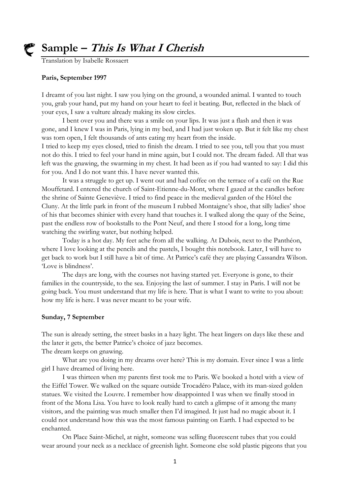

## **Sample – This Is What I Cherish**

Translation by Isabelle Rossaert

#### **Paris, September 1997**

I dreamt of you last night. I saw you lying on the ground, a wounded animal. I wanted to touch you, grab your hand, put my hand on your heart to feel it beating. But, reflected in the black of your eyes, I saw a vulture already making its slow circles.

I bent over you and there was a smile on your lips. It was just a flash and then it was gone, and I knew I was in Paris, lying in my bed, and I had just woken up. But it felt like my chest was torn open, I felt thousands of ants eating my heart from the inside.

I tried to keep my eyes closed, tried to finish the dream. I tried to see you, tell you that you must not do this. I tried to feel your hand in mine again, but I could not. The dream faded. All that was left was the gnawing, the swarming in my chest. It had been as if you had wanted to say: I did this for you. And I do not want this. I have never wanted this.

It was a struggle to get up. I went out and had coffee on the terrace of a café on the Rue Mouffetard. I entered the church of Saint-Etienne-du-Mont, where I gazed at the candles before the shrine of Sainte Geneviève. I tried to find peace in the medieval garden of the Hôtel the Cluny. At the little park in front of the museum I rubbed Montaigne's shoe, that silly ladies' shoe of his that becomes shinier with every hand that touches it. I walked along the quay of the Seine, past the endless row of bookstalls to the Pont Neuf, and there I stood for a long, long time watching the swirling water, but nothing helped.

Today is a hot day. My feet ache from all the walking. At Dubois, next to the Panthéon, where I love looking at the pencils and the pastels, I bought this notebook. Later, I will have to get back to work but I still have a bit of time. At Patrice's café they are playing Cassandra Wilson. 'Love is blindness'.

The days are long, with the courses not having started yet. Everyone is gone, to their families in the countryside, to the sea. Enjoying the last of summer. I stay in Paris. I will not be going back. You must understand that my life is here. That is what I want to write to you about: how my life is here. I was never meant to be your wife.

#### **Sunday, 7 September**

The sun is already setting, the street basks in a hazy light. The heat lingers on days like these and the later it gets, the better Patrice's choice of jazz becomes.

The dream keeps on gnawing.

What are you doing in my dreams over here? This is my domain. Ever since I was a little girl I have dreamed of living here.

I was thirteen when my parents first took me to Paris. We booked a hotel with a view of the Eiffel Tower. We walked on the square outside Trocadéro Palace, with its man-sized golden statues. We visited the Louvre. I remember how disappointed I was when we finally stood in front of the Mona Lisa. You have to look really hard to catch a glimpse of it among the many visitors, and the painting was much smaller then I'd imagined. It just had no magic about it. I could not understand how this was the most famous painting on Earth. I had expected to be enchanted.

On Place Saint-Michel, at night, someone was selling fluorescent tubes that you could wear around your neck as a necklace of greenish light. Someone else sold plastic pigeons that you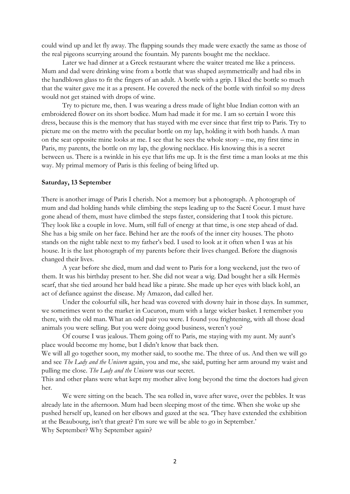could wind up and let fly away. The flapping sounds they made were exactly the same as those of the real pigeons scurrying around the fountain. My parents bought me the necklace.

Later we had dinner at a Greek restaurant where the waiter treated me like a princess. Mum and dad were drinking wine from a bottle that was shaped asymmetrically and had ribs in the handblown glass to fit the fingers of an adult. A bottle with a grip. I liked the bottle so much that the waiter gave me it as a present. He covered the neck of the bottle with tinfoil so my dress would not get stained with drops of wine.

Try to picture me, then. I was wearing a dress made of light blue Indian cotton with an embroidered flower on its short bodice. Mum had made it for me. I am so certain I wore this dress, because this is the memory that has stayed with me ever since that first trip to Paris. Try to picture me on the metro with the peculiar bottle on my lap, holding it with both hands. A man on the seat opposite mine looks at me. I see that he sees the whole story – me, my first time in Paris, my parents, the bottle on my lap, the glowing necklace. His knowing this is a secret between us. There is a twinkle in his eye that lifts me up. It is the first time a man looks at me this way. My primal memory of Paris is this feeling of being lifted up.

#### **Saturday, 13 September**

There is another image of Paris I cherish. Not a memory but a photograph. A photograph of mum and dad holding hands while climbing the steps leading up to the Sacré Coeur. I must have gone ahead of them, must have climbed the steps faster, considering that I took this picture. They look like a couple in love. Mum, still full of energy at that time, is one step ahead of dad. She has a big smile on her face. Behind her are the roofs of the inner city houses. The photo stands on the night table next to my father's bed. I used to look at it often when I was at his house. It is the last photograph of my parents before their lives changed. Before the diagnosis changed their lives.

A year before she died, mum and dad went to Paris for a long weekend, just the two of them. It was his birthday present to her. She did not wear a wig. Dad bought her a silk Hermès scarf, that she tied around her bald head like a pirate. She made up her eyes with black kohl, an act of defiance against the disease. My Amazon, dad called her.

Under the colourful silk, her head was covered with downy hair in those days. In summer, we sometimes went to the market in Cucuron, mum with a large wicker basket. I remember you there, with the old man. What an odd pair you were. I found you frightening, with all those dead animals you were selling. But you were doing good business, weren't you?

Of course I was jealous. Them going off to Paris, me staying with my aunt. My aunt's place would become my home, but I didn't know that back then.

We will all go together soon, my mother said, to soothe me. The three of us. And then we will go and see *The Lady and the Unicorn* again, you and me, she said, putting her arm around my waist and pulling me close. *The Lady and the Unicorn* was our secret.

This and other plans were what kept my mother alive long beyond the time the doctors had given her.

We were sitting on the beach. The sea rolled in, wave after wave, over the pebbles. It was already late in the afternoon. Mum had been sleeping most of the time. When she woke up she pushed herself up, leaned on her elbows and gazed at the sea. 'They have extended the exhibition at the Beaubourg, isn't that great? I'm sure we will be able to go in September.' Why September? Why September again?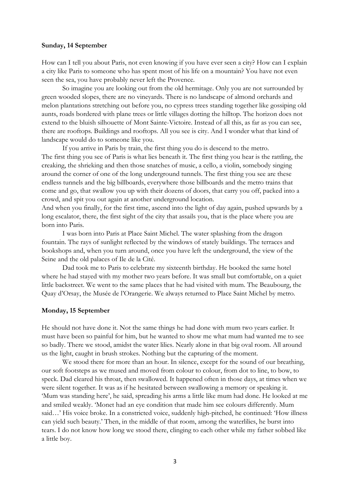#### **Sunday, 14 September**

How can I tell you about Paris, not even knowing if you have ever seen a city? How can I explain a city like Paris to someone who has spent most of his life on a mountain? You have not even seen the sea, you have probably never left the Provence.

So imagine you are looking out from the old hermitage. Only you are not surrounded by green wooded slopes, there are no vineyards. There is no landscape of almond orchards and melon plantations stretching out before you, no cypress trees standing together like gossiping old aunts, roads bordered with plane trees or little villages dotting the hilltop. The horizon does not extend to the bluish silhouette of Mont Sainte-Victoire. Instead of all this, as far as you can see, there are rooftops. Buildings and rooftops. All you see is city. And I wonder what that kind of landscape would do to someone like you.

If you arrive in Paris by train, the first thing you do is descend to the metro. The first thing you see of Paris is what lies beneath it. The first thing you hear is the rattling, the creaking, the shrieking and then those snatches of music, a cello, a violin, somebody singing around the corner of one of the long underground tunnels. The first thing you see are these endless tunnels and the big billboards, everywhere those billboards and the metro trains that come and go, that swallow you up with their dozens of doors, that carry you off, packed into a crowd, and spit you out again at another underground location.

And when you finally, for the first time, ascend into the light of day again, pushed upwards by a long escalator, there, the first sight of the city that assails you, that is the place where you are born into Paris.

I was born into Paris at Place Saint Michel. The water splashing from the dragon fountain. The rays of sunlight reflected by the windows of stately buildings. The terraces and bookshops and, when you turn around, once you have left the underground, the view of the Seine and the old palaces of Ile de la Cité.

Dad took me to Paris to celebrate my sixteenth birthday. He booked the same hotel where he had stayed with my mother two years before. It was small but comfortable, on a quiet little backstreet. We went to the same places that he had visited with mum. The Beaubourg, the Quay d'Orsay, the Musée de l'Orangerie. We always returned to Place Saint Michel by metro.

#### **Monday, 15 September**

He should not have done it. Not the same things he had done with mum two years earlier. It must have been so painful for him, but he wanted to show me what mum had wanted me to see so badly. There we stood, amidst the water lilies. Nearly alone in that big oval room. All around us the light, caught in brush strokes. Nothing but the capturing of the moment.

We stood there for more than an hour. In silence, except for the sound of our breathing, our soft footsteps as we mused and moved from colour to colour, from dot to line, to bow, to speck. Dad cleared his throat, then swallowed. It happened often in those days, at times when we were silent together. It was as if he hesitated between swallowing a memory or speaking it. 'Mum was standing here', he said, spreading his arms a little like mum had done. He looked at me and smiled weakly. 'Monet had an eye condition that made him see colours differently. Mum said…' His voice broke. In a constricted voice, suddenly high-pitched, he continued: 'How illness can yield such beauty.' Then, in the middle of that room, among the waterlilies, he burst into tears. I do not know how long we stood there, clinging to each other while my father sobbed like a little boy.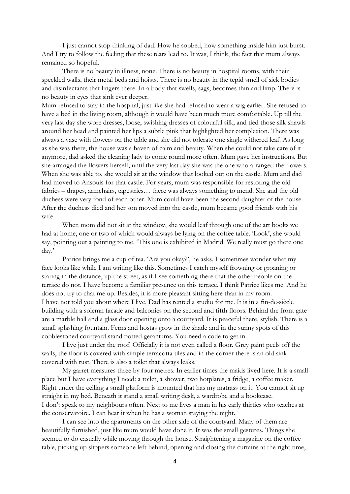I just cannot stop thinking of dad. How he sobbed, how something inside him just burst. And I try to follow the feeling that these tears lead to. It was, I think, the fact that mum always remained so hopeful.

There is no beauty in illness, none. There is no beauty in hospital rooms, with their speckled walls, their metal beds and hoists. There is no beauty in the tepid smell of sick bodies and disinfectants that lingers there. In a body that swells, sags, becomes thin and limp. There is no beauty in eyes that sink ever deeper.

Mum refused to stay in the hospital, just like she had refused to wear a wig earlier. She refused to have a bed in the living room, although it would have been much more comfortable. Up till the very last day she wore dresses, loose, swishing dresses of colourful silk, and tied those silk shawls around her head and painted her lips a subtle pink that highlighted her complexion. There was always a vase with flowers on the table and she did not tolerate one single withered leaf. As long as she was there, the house was a haven of calm and beauty. When she could not take care of it anymore, dad asked the cleaning lady to come round more often. Mum gave her instructions. But she arranged the flowers herself; until the very last day she was the one who arranged the flowers. When she was able to, she would sit at the window that looked out on the castle. Mum and dad had moved to Ansouis for that castle. For years, mum was responsible for restoring the old fabrics – drapes, armchairs, tapestries… there was always something to mend. She and the old duchess were very fond of each other. Mum could have been the second daughter of the house. After the duchess died and her son moved into the castle, mum became good friends with his wife.

When mom did not sit at the window, she would leaf through one of the art books we had at home, one or two of which would always be lying on the coffee table. 'Look', she would say, pointing out a painting to me. 'This one is exhibited in Madrid. We really must go there one day.'

Patrice brings me a cup of tea. 'Are you okay?', he asks. I sometimes wonder what my face looks like while I am writing like this. Sometimes I catch myself frowning or groaning or staring in the distance, up the street, as if I see something there that the other people on the terrace do not. I have become a familiar presence on this terrace. I think Patrice likes me. And he does not try to chat me up. Besides, it is more pleasant sitting here than in my room. I have not told you about where I live. Dad has rented a studio for me. It is in a fin-de-siècle building with a solemn facade and balconies on the second and fifth floors. Behind the front gate are a marble hall and a glass door opening onto a courtyard. It is peaceful there, stylish. There is a small splashing fountain. Ferns and hostas grow in the shade and in the sunny spots of this cobblestoned courtyard stand potted geraniums. You need a code to get in.

I live just under the roof. Officially it is not even called a floor. Grey paint peels off the walls, the floor is covered with simple terracotta tiles and in the corner there is an old sink covered with rust. There is also a toilet that always leaks.

My garret measures three by four metres. In earlier times the maids lived here. It is a small place but I have everything I need: a toilet, a shower, two hotplates, a fridge, a coffee maker. Right under the ceiling a small platform is mounted that has my matrass on it. You cannot sit up straight in my bed. Beneath it stand a small writing desk, a wardrobe and a bookcase. I don't speak to my neighbours often. Next to me lives a man in his early thirties who teaches at the conservatoire. I can hear it when he has a woman staying the night.

I can see into the apartments on the other side of the courtyard. Many of them are beautifully furnished, just like mum would have done it. It was the small gestures. Things she seemed to do casually while moving through the house. Straightening a magazine on the coffee table, picking up slippers someone left behind, opening and closing the curtains at the right time,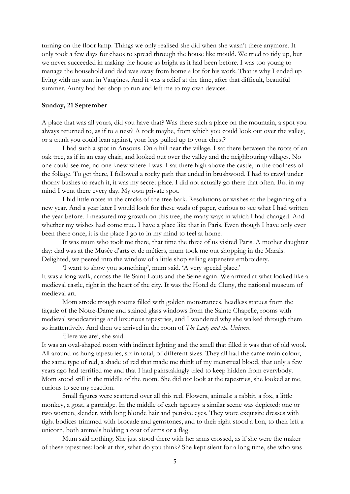turning on the floor lamp. Things we only realised she did when she wasn't there anymore. It only took a few days for chaos to spread through the house like mould. We tried to tidy up, but we never succeeded in making the house as bright as it had been before. I was too young to manage the household and dad was away from home a lot for his work. That is why I ended up living with my aunt in Vaugines. And it was a relief at the time, after that difficult, beautiful summer. Aunty had her shop to run and left me to my own devices.

#### **Sunday, 21 September**

A place that was all yours, did you have that? Was there such a place on the mountain, a spot you always returned to, as if to a nest? A rock maybe, from which you could look out over the valley, or a trunk you could lean against, your legs pulled up to your chest?

I had such a spot in Ansouis. On a hill near the village. I sat there between the roots of an oak tree, as if in an easy chair, and looked out over the valley and the neighbouring villages. No one could see me, no one knew where I was. I sat there high above the castle, in the coolness of the foliage. To get there, I followed a rocky path that ended in brushwood. I had to crawl under thorny bushes to reach it, it was my secret place. I did not actually go there that often. But in my mind I went there every day. My own private spot.

I hid little notes in the cracks of the tree bark. Resolutions or wishes at the beginning of a new year. And a year later I would look for these wads of paper, curious to see what I had written the year before. I measured my growth on this tree, the many ways in which I had changed. And whether my wishes had come true. I have a place like that in Paris. Even though I have only ever been there once, it is the place I go to in my mind to feel at home.

It was mum who took me there, that time the three of us visited Paris. A mother daughter day: dad was at the Musée d'arts et de métiers, mum took me out shopping in the Marais. Delighted, we peered into the window of a little shop selling expensive embroidery.

'I want to show you something', mum said. 'A very special place.' It was a long walk, across the Ile Saint-Louis and the Seine again. We arrived at what looked like a medieval castle, right in the heart of the city. It was the Hotel de Cluny, the national museum of medieval art.

Mom strode trough rooms filled with golden monstrances, headless statues from the façade of the Notre-Dame and stained glass windows from the Sainte Chapelle, rooms with medieval woodcarvings and luxurious tapestries, and I wondered why she walked through them so inattentively. And then we arrived in the room of *The Lady and the Unicorn*.

'Here we are', she said.

It was an oval-shaped room with indirect lighting and the smell that filled it was that of old wool. All around us hung tapestries, six in total, of different sizes. They all had the same main colour, the same type of red, a shade of red that made me think of my menstrual blood, that only a few years ago had terrified me and that I had painstakingly tried to keep hidden from everybody. Mom stood still in the middle of the room. She did not look at the tapestries, she looked at me, curious to see my reaction.

Small figures were scattered over all this red. Flowers, animals: a rabbit, a fox, a little monkey, a goat, a partridge. In the middle of each tapestry a similar scene was depicted: one or two women, slender, with long blonde hair and pensive eyes. They wore exquisite dresses with tight bodices trimmed with brocade and gemstones, and to their right stood a lion, to their left a unicorn, both animals holding a coat of arms or a flag.

Mum said nothing. She just stood there with her arms crossed, as if she were the maker of these tapestries: look at this, what do you think? She kept silent for a long time, she who was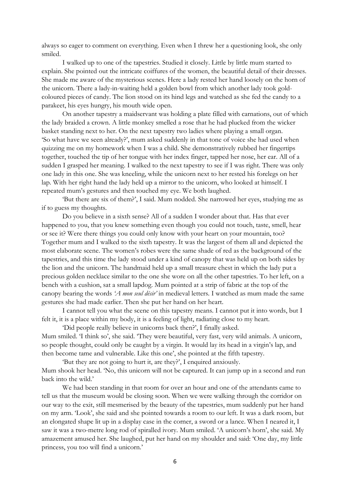always so eager to comment on everything. Even when I threw her a questioning look, she only smiled.

I walked up to one of the tapestries. Studied it closely. Little by little mum started to explain. She pointed out the intricate coiffures of the women, the beautiful detail of their dresses. She made me aware of the mysterious scenes. Here a lady rested her hand loosely on the horn of the unicorn. There a lady-in-waiting held a golden bowl from which another lady took goldcoloured pieces of candy. The lion stood on its hind legs and watched as she fed the candy to a parakeet, his eyes hungry, his mouth wide open.

On another tapestry a maidservant was holding a plate filled with carnations, out of which the lady braided a crown. A little monkey smelled a rose that he had plucked from the wicker basket standing next to her. On the next tapestry two ladies where playing a small organ. 'So what have we seen already?', mum asked suddenly in that tone of voice she had used when quizzing me on my homework when I was a child. She demonstratively rubbed her fingertips together, touched the tip of her tongue with her index finger, tapped her nose, her ear. All of a sudden I grasped her meaning. I walked to the next tapestry to see if I was right. There was only one lady in this one. She was kneeling, while the unicorn next to her rested his forelegs on her lap. With her right hand the lady held up a mirror to the unicorn, who looked at himself. I repeated mum's gestures and then touched my eye. We both laughed.

'But there are six of them?', I said. Mum nodded. She narrowed her eyes, studying me as if to guess my thoughts.

Do you believe in a sixth sense? All of a sudden I wonder about that. Has that ever happened to you, that you knew something even though you could not touch, taste, smell, hear or see it? Were there things you could only know with your heart on your mountain, too? Together mum and I walked to the sixth tapestry. It was the largest of them all and depicted the most elaborate scene. The women's robes were the same shade of red as the background of the tapestries, and this time the lady stood under a kind of canopy that was held up on both sides by the lion and the unicorn. The handmaid held up a small treasure chest in which the lady put a precious golden necklace similar to the one she wore on all the other tapestries. To her left, on a bench with a cushion, sat a small lapdog. Mum pointed at a strip of fabric at the top of the canopy bearing the words *'A mon seul désir'* in medieval letters. I watched as mum made the same gestures she had made earlier. Then she put her hand on her heart.

I cannot tell you what the scene on this tapestry means. I cannot put it into words, but I felt it, it is a place within my body, it is a feeling of light, radiating close to my heart.

'Did people really believe in unicorns back then?', I finally asked. Mum smiled. 'I think so', she said. 'They were beautiful, very fast, very wild animals. A unicorn, so people thought, could only be caught by a virgin. It would lay its head in a virgin's lap, and then become tame and vulnerable. Like this one', she pointed at the fifth tapestry.

'But they are not going to hurt it, are they?', I enquired anxiously. Mum shook her head. 'No, this unicorn will not be captured. It can jump up in a second and run back into the wild.'

We had been standing in that room for over an hour and one of the attendants came to tell us that the museum would be closing soon. When we were walking through the corridor on our way to the exit, still mesmerised by the beauty of the tapestries, mum suddenly put her hand on my arm. 'Look', she said and she pointed towards a room to our left. It was a dark room, but an elongated shape lit up in a display case in the corner, a sword or a lance. When I neared it, I saw it was a two-metre long rod of spiralled ivory. Mum smiled. 'A unicorn's horn', she said. My amazement amused her. She laughed, put her hand on my shoulder and said: 'One day, my little princess, you too will find a unicorn.'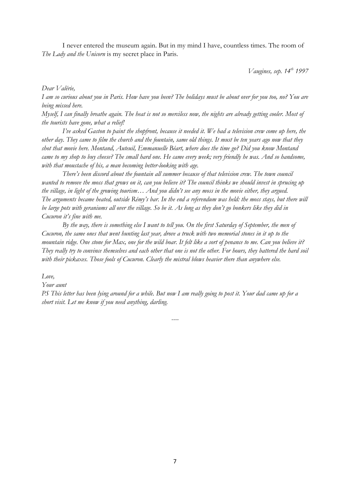I never entered the museum again. But in my mind I have, countless times. The room of *The Lady and the Unicorn* is my secret place in Paris.

*Vaugines, sep. 14th 1997*

*Dear Valérie,*

*I am so curious about you in Paris. How have you been? The holidays must be about over for you too, no? You are being missed here.*

*Myself, I can finally breathe again. The heat is not so merciless now, the nights are already getting cooler. Most of the tourists have gone, what a relief!*

*I've asked Gaston to paint the shopfront, because it needed it. We had a television crew come up here, the other day. They came to film the church and the fountain, same old things. It must be ten years ago now that they shot that movie here. Montand, Auteuil, Emmanuelle Béart, where does the time go? Did you know Montand came to my shop to buy cheese? The small hard one. He came every week; very friendly he was. And so handsome, with that moustache of his, a man becoming better-looking with age.*

*There's been discord about the fountain all summer because of that television crew. The town council wanted to remove the moss that grows on it, can you believe it? The council thinks we should invest in sprucing up the village, in light of the growing tourism… And you didn't see any moss in the movie either, they argued. The arguments became heated, outside Rémy's bar. In the end a referendum was held: the moss stays, but there will be large pots with geraniums all over the village. So be it. As long as they don't go bonkers like they did in Cucuron it's fine with me.*

*By the way, there is something else I want to tell you. On the first Saturday of September, the men of Cucuron, the same ones that went hunting last year, drove a truck with two memorial stones in it up to the mountain ridge. One stone for Max, one for the wild boar. It felt like a sort of penance to me. Can you believe it? They really try to convince themselves and each other that one is not the other. For hours, they battered the hard soil with their pickaxes. Those fools of Cucuron. Clearly the mistral blows heavier there than anywhere else.*

*Love,*

#### *Your aunt*

*PS This letter has been lying around for a while. But now I am really going to post it. Your dad came up for a short visit. Let me know if you need anything, darling.*

*----*